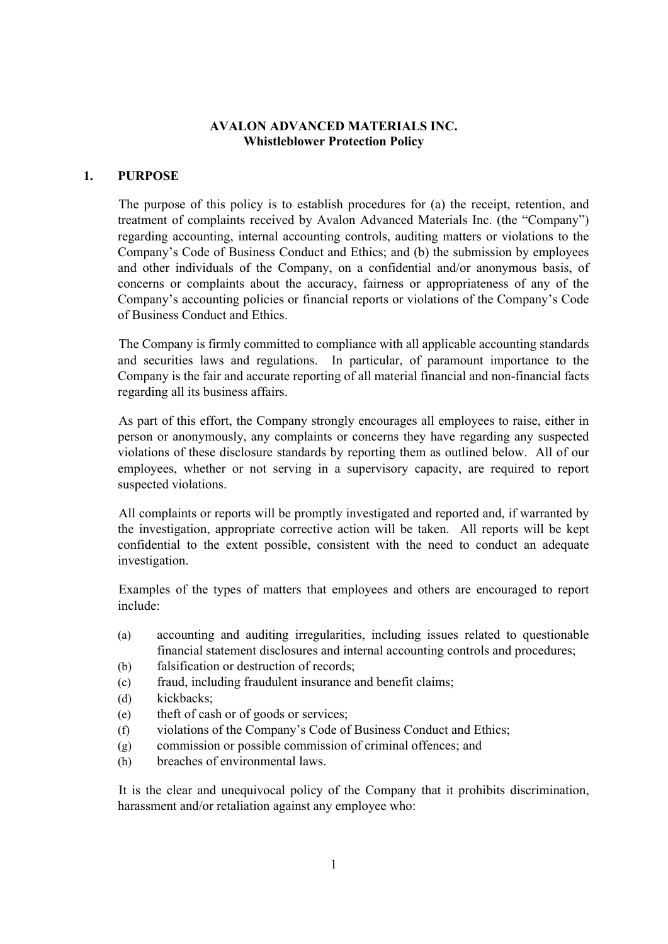### **AVALON ADVANCED MATERIALS INC. Whistleblower Protection Policy**

### **1. PURPOSE**

The purpose of this policy is to establish procedures for (a) the receipt, retention, and treatment of complaints received by Avalon Advanced Materials Inc. (the "Company") regarding accounting, internal accounting controls, auditing matters or violations to the Company's Code of Business Conduct and Ethics; and (b) the submission by employees and other individuals of the Company, on a confidential and/or anonymous basis, of concerns or complaints about the accuracy, fairness or appropriateness of any of the Company's accounting policies or financial reports or violations of the Company's Code of Business Conduct and Ethics.

The Company is firmly committed to compliance with all applicable accounting standards and securities laws and regulations. In particular, of paramount importance to the Company is the fair and accurate reporting of all material financial and non-financial facts regarding all its business affairs.

As part of this effort, the Company strongly encourages all employees to raise, either in person or anonymously, any complaints or concerns they have regarding any suspected violations of these disclosure standards by reporting them as outlined below. All of our employees, whether or not serving in a supervisory capacity, are required to report suspected violations.

All complaints or reports will be promptly investigated and reported and, if warranted by the investigation, appropriate corrective action will be taken. All reports will be kept confidential to the extent possible, consistent with the need to conduct an adequate investigation.

Examples of the types of matters that employees and others are encouraged to report include:

- (a) accounting and auditing irregularities, including issues related to questionable financial statement disclosures and internal accounting controls and procedures;
- (b) falsification or destruction of records;
- (c) fraud, including fraudulent insurance and benefit claims;
- (d) kickbacks;
- (e) theft of cash or of goods or services;
- (f) violations of the Company's Code of Business Conduct and Ethics;
- (g) commission or possible commission of criminal offences; and
- (h) breaches of environmental laws.

It is the clear and unequivocal policy of the Company that it prohibits discrimination, harassment and/or retaliation against any employee who: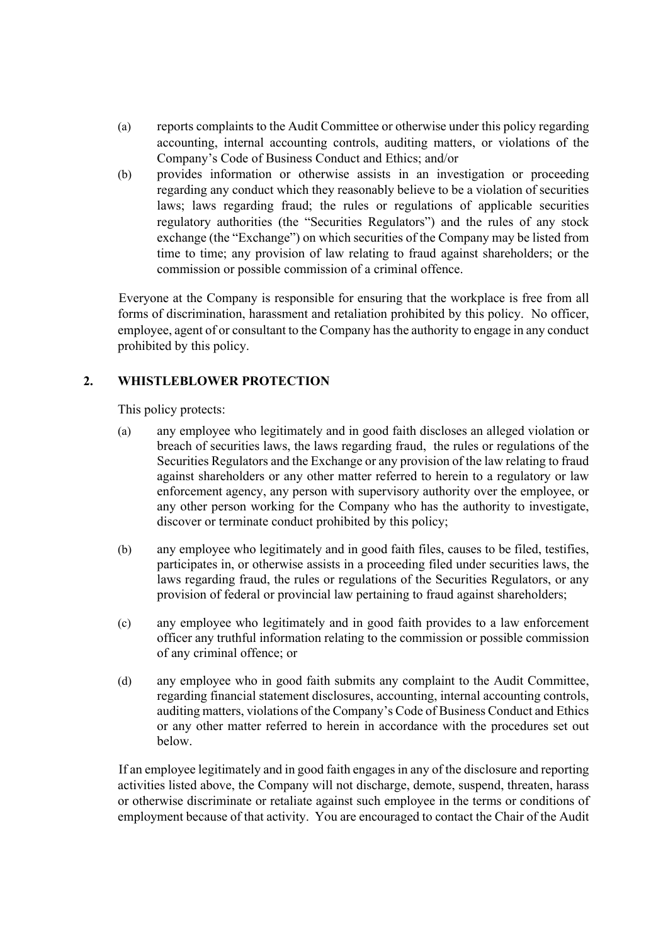- (a) reports complaints to the Audit Committee or otherwise under this policy regarding accounting, internal accounting controls, auditing matters, or violations of the Company's Code of Business Conduct and Ethics; and/or
- (b) provides information or otherwise assists in an investigation or proceeding regarding any conduct which they reasonably believe to be a violation of securities laws; laws regarding fraud; the rules or regulations of applicable securities regulatory authorities (the "Securities Regulators") and the rules of any stock exchange (the "Exchange") on which securities of the Company may be listed from time to time; any provision of law relating to fraud against shareholders; or the commission or possible commission of a criminal offence.

Everyone at the Company is responsible for ensuring that the workplace is free from all forms of discrimination, harassment and retaliation prohibited by this policy. No officer, employee, agent of or consultant to the Company has the authority to engage in any conduct prohibited by this policy.

# **2. WHISTLEBLOWER PROTECTION**

This policy protects:

- (a) any employee who legitimately and in good faith discloses an alleged violation or breach of securities laws, the laws regarding fraud, the rules or regulations of the Securities Regulators and the Exchange or any provision of the law relating to fraud against shareholders or any other matter referred to herein to a regulatory or law enforcement agency, any person with supervisory authority over the employee, or any other person working for the Company who has the authority to investigate, discover or terminate conduct prohibited by this policy;
- (b) any employee who legitimately and in good faith files, causes to be filed, testifies, participates in, or otherwise assists in a proceeding filed under securities laws, the laws regarding fraud, the rules or regulations of the Securities Regulators, or any provision of federal or provincial law pertaining to fraud against shareholders;
- (c) any employee who legitimately and in good faith provides to a law enforcement officer any truthful information relating to the commission or possible commission of any criminal offence; or
- (d) any employee who in good faith submits any complaint to the Audit Committee, regarding financial statement disclosures, accounting, internal accounting controls, auditing matters, violations of the Company's Code of Business Conduct and Ethics or any other matter referred to herein in accordance with the procedures set out below.

If an employee legitimately and in good faith engages in any of the disclosure and reporting activities listed above, the Company will not discharge, demote, suspend, threaten, harass or otherwise discriminate or retaliate against such employee in the terms or conditions of employment because of that activity. You are encouraged to contact the Chair of the Audit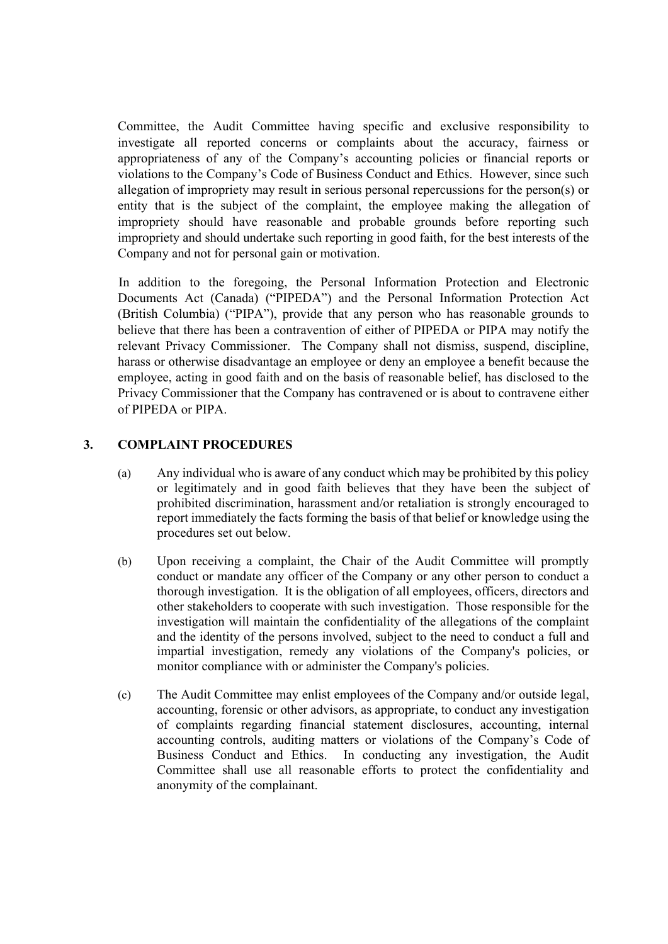Committee, the Audit Committee having specific and exclusive responsibility to investigate all reported concerns or complaints about the accuracy, fairness or appropriateness of any of the Company's accounting policies or financial reports or violations to the Company's Code of Business Conduct and Ethics. However, since such allegation of impropriety may result in serious personal repercussions for the person(s) or entity that is the subject of the complaint, the employee making the allegation of impropriety should have reasonable and probable grounds before reporting such impropriety and should undertake such reporting in good faith, for the best interests of the Company and not for personal gain or motivation.

In addition to the foregoing, the Personal Information Protection and Electronic Documents Act (Canada) ("PIPEDA") and the Personal Information Protection Act (British Columbia) ("PIPA"), provide that any person who has reasonable grounds to believe that there has been a contravention of either of PIPEDA or PIPA may notify the relevant Privacy Commissioner. The Company shall not dismiss, suspend, discipline, harass or otherwise disadvantage an employee or deny an employee a benefit because the employee, acting in good faith and on the basis of reasonable belief, has disclosed to the Privacy Commissioner that the Company has contravened or is about to contravene either of PIPEDA or PIPA.

## **3. COMPLAINT PROCEDURES**

- (a) Any individual who is aware of any conduct which may be prohibited by this policy or legitimately and in good faith believes that they have been the subject of prohibited discrimination, harassment and/or retaliation is strongly encouraged to report immediately the facts forming the basis of that belief or knowledge using the procedures set out below.
- (b) Upon receiving a complaint, the Chair of the Audit Committee will promptly conduct or mandate any officer of the Company or any other person to conduct a thorough investigation. It is the obligation of all employees, officers, directors and other stakeholders to cooperate with such investigation. Those responsible for the investigation will maintain the confidentiality of the allegations of the complaint and the identity of the persons involved, subject to the need to conduct a full and impartial investigation, remedy any violations of the Company's policies, or monitor compliance with or administer the Company's policies.
- (c) The Audit Committee may enlist employees of the Company and/or outside legal, accounting, forensic or other advisors, as appropriate, to conduct any investigation of complaints regarding financial statement disclosures, accounting, internal accounting controls, auditing matters or violations of the Company's Code of Business Conduct and Ethics. In conducting any investigation, the Audit Committee shall use all reasonable efforts to protect the confidentiality and anonymity of the complainant.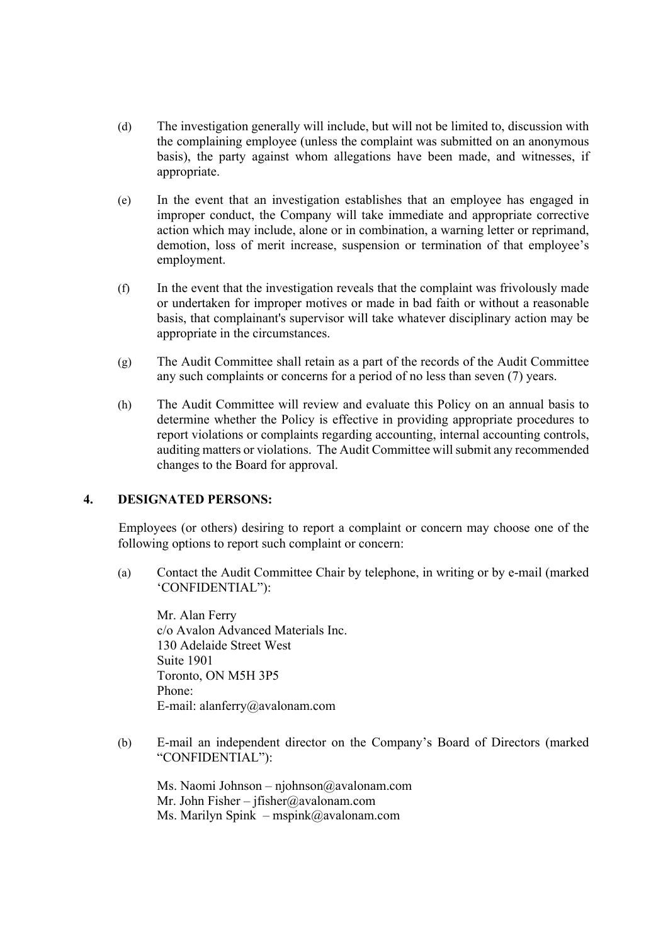- (d) The investigation generally will include, but will not be limited to, discussion with the complaining employee (unless the complaint was submitted on an anonymous basis), the party against whom allegations have been made, and witnesses, if appropriate.
- (e) In the event that an investigation establishes that an employee has engaged in improper conduct, the Company will take immediate and appropriate corrective action which may include, alone or in combination, a warning letter or reprimand, demotion, loss of merit increase, suspension or termination of that employee's employment.
- (f) In the event that the investigation reveals that the complaint was frivolously made or undertaken for improper motives or made in bad faith or without a reasonable basis, that complainant's supervisor will take whatever disciplinary action may be appropriate in the circumstances.
- (g) The Audit Committee shall retain as a part of the records of the Audit Committee any such complaints or concerns for a period of no less than seven (7) years.
- (h) The Audit Committee will review and evaluate this Policy on an annual basis to determine whether the Policy is effective in providing appropriate procedures to report violations or complaints regarding accounting, internal accounting controls, auditing matters or violations. The Audit Committee will submit any recommended changes to the Board for approval.

### **4. DESIGNATED PERSONS:**

Employees (or others) desiring to report a complaint or concern may choose one of the following options to report such complaint or concern:

(a) Contact the Audit Committee Chair by telephone, in writing or by e-mail (marked 'CONFIDENTIAL"):

Mr. Alan Ferry c/o Avalon Advanced Materials Inc. 130 Adelaide Street West Suite 1901 Toronto, ON M5H 3P5 Phone: E-mail: alanferry@avalonam.com

(b) E-mail an independent director on the Company's Board of Directors (marked "CONFIDENTIAL"):

Ms. Naomi Johnson – njohnson@avalonam.com Mr. John Fisher – jfisher@avalonam.com Ms. Marilyn Spink – mspink@avalonam.com